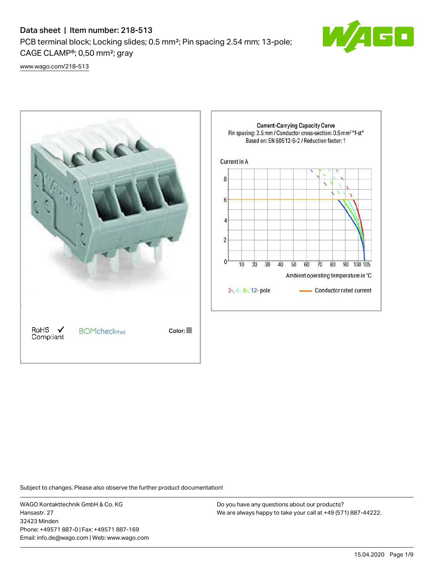## Data sheet | Item number: 218-513

PCB terminal block; Locking slides; 0.5 mm²; Pin spacing 2.54 mm; 13-pole; CAGE CLAMP®; 0,50 mm²; gray



[www.wago.com/218-513](http://www.wago.com/218-513)



Subject to changes. Please also observe the further product documentation!

WAGO Kontakttechnik GmbH & Co. KG Hansastr. 27 32423 Minden Phone: +49571 887-0 | Fax: +49571 887-169 Email: info.de@wago.com | Web: www.wago.com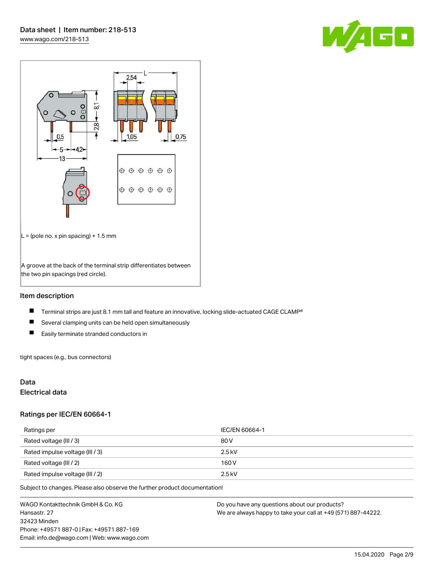



## Item description

- $\blacksquare$ Terminal strips are just 8.1 mm tall and feature an innovative, locking slide-actuated CAGE CLAMP®
- $\blacksquare$ Several clamping units can be held open simultaneously
- $\blacksquare$ Easily terminate stranded conductors in

tight spaces (e.g., bus connectors)

## Data

### Electrical data

#### Ratings per IEC/EN 60664-1

| Ratings per                     | IEC/EN 60664-1 |
|---------------------------------|----------------|
| Rated voltage (III / 3)         | 80 V           |
| Rated impulse voltage (III / 3) | $2.5$ kV       |
| Rated voltage (III / 2)         | 160 V          |
| Rated impulse voltage (III / 2) | $2.5$ kV       |

Subject to changes. Please also observe the further product documentation!

WAGO Kontakttechnik GmbH & Co. KG Hansastr. 27 32423 Minden Phone: +49571 887-0 | Fax: +49571 887-169 Email: info.de@wago.com | Web: www.wago.com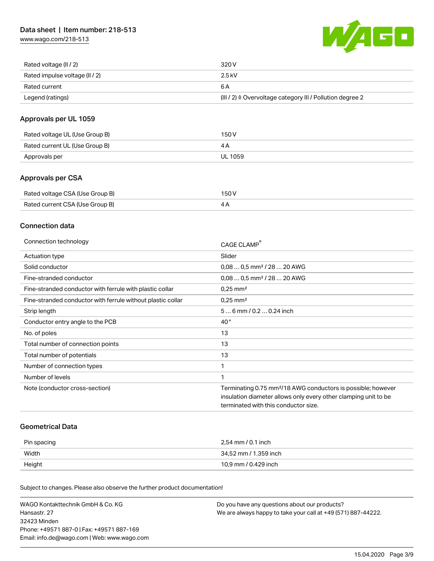[www.wago.com/218-513](http://www.wago.com/218-513)



| Rated voltage (II / 2)         | 320 V                                                                 |
|--------------------------------|-----------------------------------------------------------------------|
| Rated impulse voltage (II / 2) | 2.5 kV                                                                |
| Rated current                  | 6 A                                                                   |
| Legend (ratings)               | $(III / 2)$ $\triangle$ Overvoltage category III / Pollution degree 2 |

## Approvals per UL 1059

| Rated voltage UL (Use Group B) | 150 V   |
|--------------------------------|---------|
| Rated current UL (Use Group B) |         |
| Approvals per                  | UL 1059 |

## Approvals per CSA

| Rated voltage CSA (Use Group B) | 150 V |
|---------------------------------|-------|
| Rated current CSA (Use Group B) | 4Α    |

## Connection data

| Connection technology                                       | CAGE CLAMP®                                                              |
|-------------------------------------------------------------|--------------------------------------------------------------------------|
| Actuation type                                              | Slider                                                                   |
| Solid conductor                                             | $0.080.5$ mm <sup>2</sup> / 28  20 AWG                                   |
| Fine-stranded conductor                                     | $0.080.5$ mm <sup>2</sup> / 28  20 AWG                                   |
| Fine-stranded conductor with ferrule with plastic collar    | $0.25$ mm <sup>2</sup>                                                   |
| Fine-stranded conductor with ferrule without plastic collar | $0.25$ mm <sup>2</sup>                                                   |
| Strip length                                                | $56$ mm $/ 0.20.24$ inch                                                 |
| Conductor entry angle to the PCB                            | $40^{\circ}$                                                             |
| No. of poles                                                | 13                                                                       |
| Total number of connection points                           | 13                                                                       |
| Total number of potentials                                  | 13                                                                       |
| Number of connection types                                  | 1                                                                        |
| Number of levels                                            | 1                                                                        |
| Note (conductor cross-section)                              | Terminating 0.75 mm <sup>2</sup> /18 AWG conductors is possible; however |
|                                                             | insulation diameter allows only every other clamping unit to be          |
|                                                             | terminated with this conductor size.                                     |

### Geometrical Data

| Pin spacing | 2,54 mm / 0.1 inch    |
|-------------|-----------------------|
| Width       | 34,52 mm / 1.359 inch |
| Height      | 10,9 mm / 0.429 inch  |

Subject to changes. Please also observe the further product documentation!

| WAGO Kontakttechnik GmbH & Co. KG           | Do you have any questions about our products?                 |
|---------------------------------------------|---------------------------------------------------------------|
| Hansastr. 27                                | We are always happy to take your call at +49 (571) 887-44222. |
| 32423 Minden                                |                                                               |
| Phone: +49571 887-01 Fax: +49571 887-169    |                                                               |
| Email: info.de@wago.com   Web: www.wago.com |                                                               |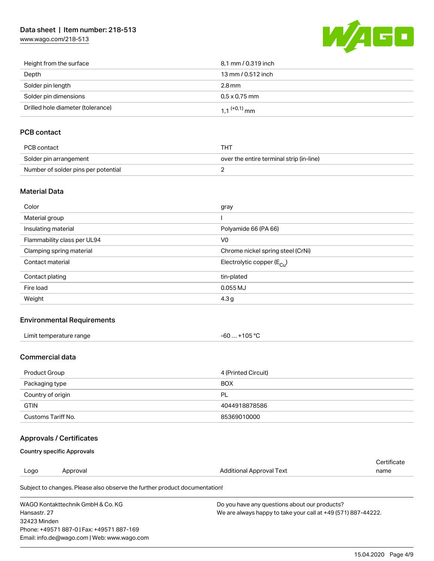## Data sheet | Item number: 218-513

[www.wago.com/218-513](http://www.wago.com/218-513)



| Height from the surface           | 8.1 mm / 0.319 inch        |
|-----------------------------------|----------------------------|
| Depth                             | 13 mm / 0.512 inch         |
| Solder pin length                 | $2.8 \,\mathrm{mm}$        |
| Solder pin dimensions             | $0.5 \times 0.75$ mm       |
| Drilled hole diameter (tolerance) | $1.1$ <sup>(+0,1)</sup> mm |

## PCB contact

| PCB contact                         | тнт                                      |
|-------------------------------------|------------------------------------------|
| Solder pin arrangement              | over the entire terminal strip (in-line) |
| Number of solder pins per potential |                                          |

### Material Data

| Color                       | gray                                  |
|-----------------------------|---------------------------------------|
| Material group              |                                       |
| Insulating material         | Polyamide 66 (PA 66)                  |
| Flammability class per UL94 | V <sub>0</sub>                        |
| Clamping spring material    | Chrome nickel spring steel (CrNi)     |
| Contact material            | Electrolytic copper $(E_{\text{Cu}})$ |
| Contact plating             | tin-plated                            |
| Fire load                   | $0.055$ MJ                            |
| Weight                      | 4.3 <sub>g</sub>                      |

## Environmental Requirements

| Limit temperature range | +105 $^{\circ}$ C |
|-------------------------|-------------------|
|                         | -60               |
| .                       |                   |

### Commercial data

| Product Group      | 4 (Printed Circuit) |
|--------------------|---------------------|
| Packaging type     | <b>BOX</b>          |
| Country of origin  | <b>PL</b>           |
| <b>GTIN</b>        | 4044918878586       |
| Customs Tariff No. | 85369010000         |

## Approvals / Certificates

### Country specific Approvals

Phone: +49571 887-0 | Fax: +49571 887-169 Email: info.de@wago.com | Web: www.wago.com

| Logo         | Approval                                                                   | Additional Approval Text                                      | Certificate<br>name |
|--------------|----------------------------------------------------------------------------|---------------------------------------------------------------|---------------------|
|              | Subject to changes. Please also observe the further product documentation! |                                                               |                     |
|              | WAGO Kontakttechnik GmbH & Co. KG                                          | Do you have any questions about our products?                 |                     |
| Hansastr, 27 |                                                                            | We are always happy to take your call at +49 (571) 887-44222. |                     |
| 32423 Minden |                                                                            |                                                               |                     |

15.04.2020 Page 4/9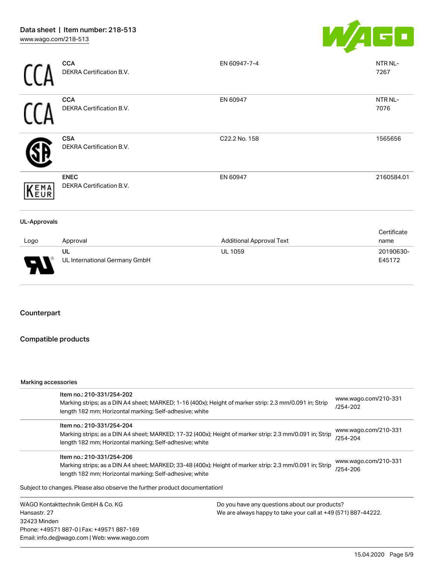

|                     | <b>CCA</b><br>DEKRA Certification B.V.  | EN 60947-7-4                    | NTR NL-<br>7267     |
|---------------------|-----------------------------------------|---------------------------------|---------------------|
|                     | <b>CCA</b><br>DEKRA Certification B.V.  | EN 60947                        | NTR NL-<br>7076     |
|                     | <b>CSA</b><br>DEKRA Certification B.V.  | C22.2 No. 158                   | 1565656             |
| KEMA                | <b>ENEC</b><br>DEKRA Certification B.V. | EN 60947                        | 2160584.01          |
| <b>UL-Approvals</b> |                                         |                                 |                     |
| Logo                | Approval                                | <b>Additional Approval Text</b> | Certificate<br>name |

| Logo | Approval                      | <b>Additional Approval Text</b> | name      |
|------|-------------------------------|---------------------------------|-----------|
|      | UL                            | <b>UL 1059</b>                  | 20190630- |
| ľ    | UL International Germany GmbH |                                 | E45172    |

## Counterpart

## Compatible products

#### Marking accessories

Email: info.de@wago.com | Web: www.wago.com

| Item no.: 210-331/254-202 |                                                                                                                | www.wago.com/210-331<br>/254-202                                                                                                                                                                                                                                                                                                                                                                                                                                                                                                                                                            |
|---------------------------|----------------------------------------------------------------------------------------------------------------|---------------------------------------------------------------------------------------------------------------------------------------------------------------------------------------------------------------------------------------------------------------------------------------------------------------------------------------------------------------------------------------------------------------------------------------------------------------------------------------------------------------------------------------------------------------------------------------------|
| Item no.: 210-331/254-204 |                                                                                                                | www.wago.com/210-331<br>/254-204                                                                                                                                                                                                                                                                                                                                                                                                                                                                                                                                                            |
| Item no.: 210-331/254-206 |                                                                                                                | www.wago.com/210-331<br>/254-206                                                                                                                                                                                                                                                                                                                                                                                                                                                                                                                                                            |
|                           |                                                                                                                |                                                                                                                                                                                                                                                                                                                                                                                                                                                                                                                                                                                             |
|                           | Do you have any questions about our products?<br>We are always happy to take your call at +49 (571) 887-44222. |                                                                                                                                                                                                                                                                                                                                                                                                                                                                                                                                                                                             |
|                           | WAGO Kontakttechnik GmbH & Co. KG<br>32423 Minden<br>Phone: +49571 887-0   Fax: +49571 887-169                 | Marking strips; as a DIN A4 sheet; MARKED; 1-16 (400x); Height of marker strip: 2.3 mm/0.091 in; Strip<br>length 182 mm; Horizontal marking; Self-adhesive; white<br>Marking strips; as a DIN A4 sheet; MARKED; 17-32 (400x); Height of marker strip: 2.3 mm/0.091 in; Strip<br>length 182 mm; Horizontal marking; Self-adhesive; white<br>Marking strips; as a DIN A4 sheet; MARKED; 33-48 (400x); Height of marker strip: 2.3 mm/0.091 in; Strip<br>length 182 mm; Horizontal marking; Self-adhesive; white<br>Subject to changes. Please also observe the further product documentation! |

15.04.2020 Page 5/9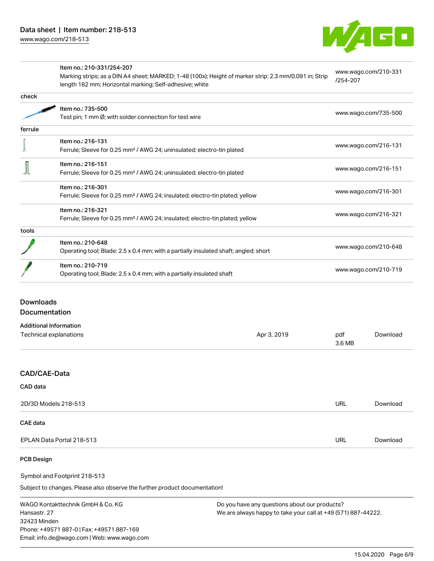

|         | Item no.: 210-331/254-207<br>Marking strips; as a DIN A4 sheet; MARKED; 1-48 (100x); Height of marker strip: 2.3 mm/0.091 in; Strip<br>length 182 mm; Horizontal marking; Self-adhesive; white | www.wago.com/210-331<br>/254-207 |  |
|---------|------------------------------------------------------------------------------------------------------------------------------------------------------------------------------------------------|----------------------------------|--|
| check   |                                                                                                                                                                                                |                                  |  |
|         | Item no.: 735-500                                                                                                                                                                              |                                  |  |
|         | Test pin; 1 mm Ø; with solder connection for test wire                                                                                                                                         | www.wago.com/735-500             |  |
| ferrule |                                                                                                                                                                                                |                                  |  |
|         | Item no.: 216-131                                                                                                                                                                              |                                  |  |
|         | Ferrule; Sleeve for 0.25 mm <sup>2</sup> / AWG 24; uninsulated; electro-tin plated                                                                                                             | www.wago.com/216-131             |  |
|         | Item no.: 216-151                                                                                                                                                                              |                                  |  |
|         | Ferrule; Sleeve for 0.25 mm <sup>2</sup> / AWG 24; uninsulated; electro-tin plated                                                                                                             | www.wago.com/216-151             |  |
|         | Item no.: 216-301                                                                                                                                                                              | www.wago.com/216-301             |  |
|         | Ferrule; Sleeve for 0.25 mm <sup>2</sup> / AWG 24; insulated; electro-tin plated; yellow                                                                                                       |                                  |  |
|         | Item no.: 216-321                                                                                                                                                                              |                                  |  |
|         | Ferrule; Sleeve for 0.25 mm <sup>2</sup> / AWG 24; insulated; electro-tin plated; yellow                                                                                                       | www.wago.com/216-321             |  |
| tools   |                                                                                                                                                                                                |                                  |  |
|         | Item no.: 210-648                                                                                                                                                                              | www.wago.com/210-648             |  |
|         | Operating tool; Blade: 2.5 x 0.4 mm; with a partially insulated shaft; angled; short                                                                                                           |                                  |  |
|         | Item no.: 210-719                                                                                                                                                                              | www.wago.com/210-719             |  |
|         | Operating tool; Blade: 2.5 x 0.4 mm; with a partially insulated shaft                                                                                                                          |                                  |  |

## Downloads Documentation

| <b>Additional Information</b> |             |               |          |
|-------------------------------|-------------|---------------|----------|
| Technical explanations        | Apr 3, 2019 | pdf<br>3.6 MB | Download |

## CAD/CAE-Data

| CAD data                  |            |          |
|---------------------------|------------|----------|
| 2D/3D Models 218-513      | <b>URL</b> | Download |
| <b>CAE data</b>           |            |          |
| EPLAN Data Portal 218-513 | <b>URL</b> | Download |

## PCB Design

Symbol and Footprint 218-513

Subject to changes. Please also observe the further product documentation!

WAGO Kontakttechnik GmbH & Co. KG Hansastr. 27 32423 Minden Phone: +49571 887-0 | Fax: +49571 887-169 Email: info.de@wago.com | Web: www.wago.com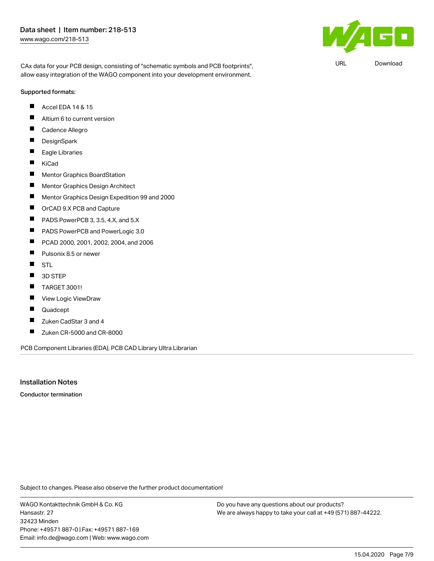CAx data for your PCB design, consisting of "schematic symbols and PCB footprints", allow easy integration of the WAGO component into your development environment.

#### Supported formats:

- Accel EDA 14 & 15  $\blacksquare$
- $\blacksquare$ Altium 6 to current version
- П Cadence Allegro
- $\blacksquare$ **DesignSpark**
- $\blacksquare$ Eagle Libraries
- $\blacksquare$ KiCad
- $\blacksquare$ Mentor Graphics BoardStation
- П Mentor Graphics Design Architect
- П Mentor Graphics Design Expedition 99 and 2000
- $\blacksquare$ OrCAD 9.X PCB and Capture
- $\blacksquare$ PADS PowerPCB 3, 3.5, 4.X, and 5.X
- $\blacksquare$ PADS PowerPCB and PowerLogic 3.0
- $\blacksquare$ PCAD 2000, 2001, 2002, 2004, and 2006
- $\blacksquare$ Pulsonix 8.5 or newer
- $\blacksquare$ **STL**
- $\blacksquare$ 3D STEP
- П TARGET 3001!
- $\blacksquare$ View Logic ViewDraw
- П Quadcept
- $\blacksquare$ Zuken CadStar 3 and 4
- $\blacksquare$ Zuken CR-5000 and CR-8000

PCB Component Libraries (EDA), PCB CAD Library Ultra Librarian

## Installation Notes

Conductor termination

Subject to changes. Please also observe the further product documentation!

WAGO Kontakttechnik GmbH & Co. KG Hansastr. 27 32423 Minden Phone: +49571 887-0 | Fax: +49571 887-169 Email: info.de@wago.com | Web: www.wago.com

Do you have any questions about our products? We are always happy to take your call at +49 (571) 887-44222.



URL [Download](https://www.wago.com/de/d/UltraLibrarian_URLS_218-513)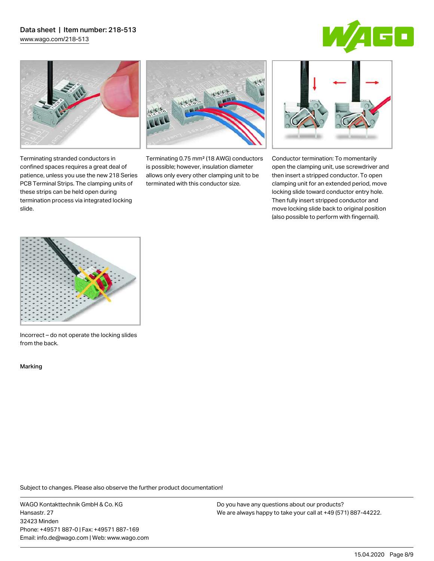# Data sheet | Item number: 218-513

[www.wago.com/218-513](http://www.wago.com/218-513)





Terminating stranded conductors in confined spaces requires a great deal of patience, unless you use the new 218 Series PCB Terminal Strips. The clamping units of these strips can be held open during termination process via integrated locking

Terminating 0.75 mm² (18 AWG) conductors is possible; however, insulation diameter allows only every other clamping unit to be terminated with this conductor size.



Conductor termination: To momentarily open the clamping unit, use screwdriver and then insert a stripped conductor. To open clamping unit for an extended period, move locking slide toward conductor entry hole. Then fully insert stripped conductor and move locking slide back to original position (also possible to perform with fingernail).



Incorrect – do not operate the locking slides from the back.

Marking

slide.

Subject to changes. Please also observe the further product documentation!

WAGO Kontakttechnik GmbH & Co. KG Hansastr. 27 32423 Minden Phone: +49571 887-0 | Fax: +49571 887-169 Email: info.de@wago.com | Web: www.wago.com